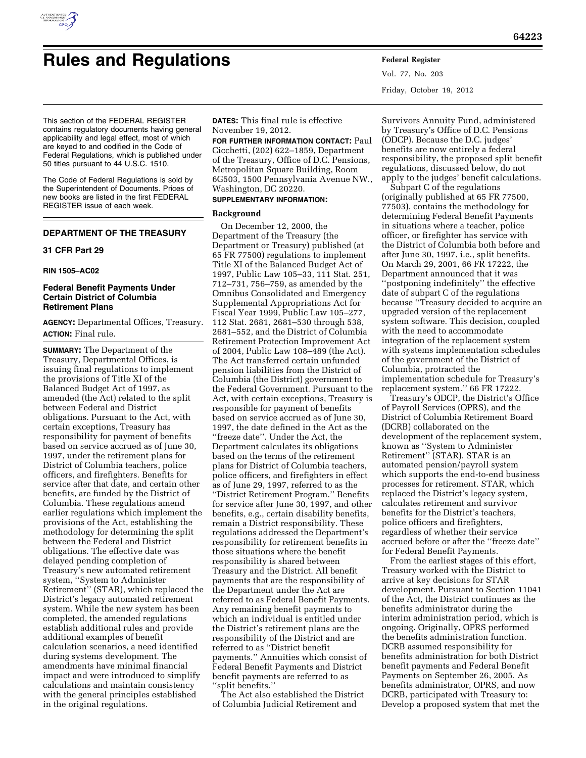

Vol. 77, No. 203 Friday, October 19, 2012

This section of the FEDERAL REGISTER contains regulatory documents having general applicability and legal effect, most of which are keyed to and codified in the Code of Federal Regulations, which is published under 50 titles pursuant to 44 U.S.C. 1510.

The Code of Federal Regulations is sold by the Superintendent of Documents. Prices of new books are listed in the first FEDERAL REGISTER issue of each week.

### **DEPARTMENT OF THE TREASURY**

### **31 CFR Part 29**

### **RIN 1505–AC02**

### **Federal Benefit Payments Under Certain District of Columbia Retirement Plans**

**AGENCY:** Departmental Offices, Treasury. **ACTION:** Final rule.

**SUMMARY:** The Department of the Treasury, Departmental Offices, is issuing final regulations to implement the provisions of Title XI of the Balanced Budget Act of 1997, as amended (the Act) related to the split between Federal and District obligations. Pursuant to the Act, with certain exceptions, Treasury has responsibility for payment of benefits based on service accrued as of June 30, 1997, under the retirement plans for District of Columbia teachers, police officers, and firefighters. Benefits for service after that date, and certain other benefits, are funded by the District of Columbia. These regulations amend earlier regulations which implement the provisions of the Act, establishing the methodology for determining the split between the Federal and District obligations. The effective date was delayed pending completion of Treasury's new automated retirement system, ''System to Administer Retirement'' (STAR), which replaced the District's legacy automated retirement system. While the new system has been completed, the amended regulations establish additional rules and provide additional examples of benefit calculation scenarios, a need identified during systems development. The amendments have minimal financial impact and were introduced to simplify calculations and maintain consistency with the general principles established in the original regulations.

**DATES:** This final rule is effective November 19, 2012.

**FOR FURTHER INFORMATION CONTACT:** Paul Cicchetti, (202) 622–1859, Department of the Treasury, Office of D.C. Pensions, Metropolitan Square Building, Room 6G503, 1500 Pennsylvania Avenue NW., Washington, DC 20220.

### **SUPPLEMENTARY INFORMATION:**

### **Background**

On December 12, 2000, the Department of the Treasury (the Department or Treasury) published (at 65 FR 77500) regulations to implement Title XI of the Balanced Budget Act of 1997, Public Law 105–33, 111 Stat. 251, 712–731, 756–759, as amended by the Omnibus Consolidated and Emergency Supplemental Appropriations Act for Fiscal Year 1999, Public Law 105–277, 112 Stat. 2681, 2681–530 through 538, 2681–552, and the District of Columbia Retirement Protection Improvement Act of 2004, Public Law 108–489 (the Act). The Act transferred certain unfunded pension liabilities from the District of Columbia (the District) government to the Federal Government. Pursuant to the Act, with certain exceptions, Treasury is responsible for payment of benefits based on service accrued as of June 30, 1997, the date defined in the Act as the ''freeze date''. Under the Act, the Department calculates its obligations based on the terms of the retirement plans for District of Columbia teachers, police officers, and firefighters in effect as of June 29, 1997, referred to as the ''District Retirement Program.'' Benefits for service after June 30, 1997, and other benefits, e.g., certain disability benefits, remain a District responsibility. These regulations addressed the Department's responsibility for retirement benefits in those situations where the benefit responsibility is shared between Treasury and the District. All benefit payments that are the responsibility of the Department under the Act are referred to as Federal Benefit Payments. Any remaining benefit payments to which an individual is entitled under the District's retirement plans are the responsibility of the District and are referred to as ''District benefit payments.'' Annuities which consist of Federal Benefit Payments and District benefit payments are referred to as ''split benefits.''

The Act also established the District of Columbia Judicial Retirement and

Survivors Annuity Fund, administered by Treasury's Office of D.C. Pensions (ODCP). Because the D.C. judges' benefits are now entirely a federal responsibility, the proposed split benefit regulations, discussed below, do not apply to the judges' benefit calculations.

Subpart C of the regulations (originally published at 65 FR 77500, 77503), contains the methodology for determining Federal Benefit Payments in situations where a teacher, police officer, or firefighter has service with the District of Columbia both before and after June 30, 1997, i.e., split benefits. On March 29, 2001, 66 FR 17222, the Department announced that it was ''postponing indefinitely'' the effective date of subpart C of the regulations because ''Treasury decided to acquire an upgraded version of the replacement system software. This decision, coupled with the need to accommodate integration of the replacement system with systems implementation schedules of the government of the District of Columbia, protracted the implementation schedule for Treasury's replacement system.'' 66 FR 17222.

Treasury's ODCP, the District's Office of Payroll Services (OPRS), and the District of Columbia Retirement Board (DCRB) collaborated on the development of the replacement system, known as ''System to Administer Retirement'' (STAR). STAR is an automated pension/payroll system which supports the end-to-end business processes for retirement. STAR, which replaced the District's legacy system, calculates retirement and survivor benefits for the District's teachers, police officers and firefighters, regardless of whether their service accrued before or after the ''freeze date'' for Federal Benefit Payments.

From the earliest stages of this effort, Treasury worked with the District to arrive at key decisions for STAR development. Pursuant to Section 11041 of the Act, the District continues as the benefits administrator during the interim administration period, which is ongoing. Originally, OPRS performed the benefits administration function. DCRB assumed responsibility for benefits administration for both District benefit payments and Federal Benefit Payments on September 26, 2005. As benefits administrator, OPRS, and now DCRB, participated with Treasury to: Develop a proposed system that met the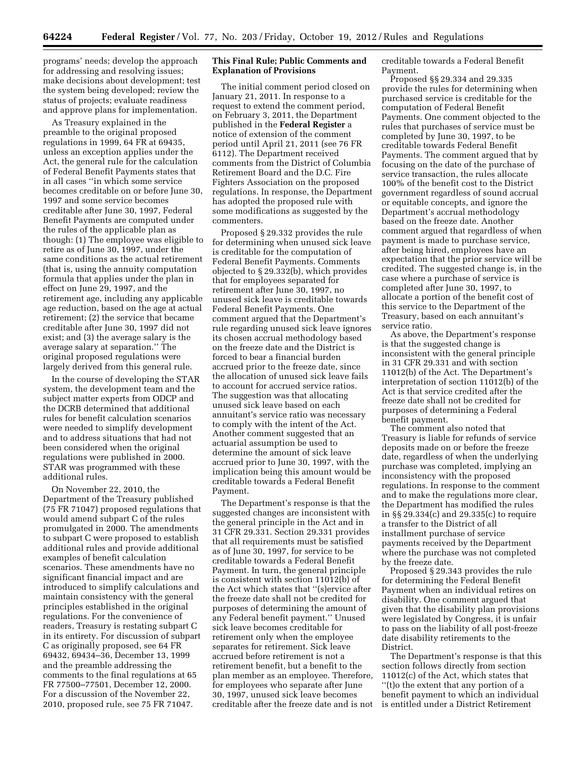programs' needs; develop the approach for addressing and resolving issues; make decisions about development; test the system being developed; review the status of projects; evaluate readiness and approve plans for implementation.

As Treasury explained in the preamble to the original proposed regulations in 1999, 64 FR at 69435, unless an exception applies under the Act, the general rule for the calculation of Federal Benefit Payments states that in all cases ''in which some service becomes creditable on or before June 30, 1997 and some service becomes creditable after June 30, 1997, Federal Benefit Payments are computed under the rules of the applicable plan as though: (1) The employee was eligible to retire as of June 30, 1997, under the same conditions as the actual retirement (that is, using the annuity computation formula that applies under the plan in effect on June 29, 1997, and the retirement age, including any applicable age reduction, based on the age at actual retirement; (2) the service that became creditable after June 30, 1997 did not exist; and (3) the average salary is the average salary at separation.'' The original proposed regulations were largely derived from this general rule.

In the course of developing the STAR system, the development team and the subject matter experts from ODCP and the DCRB determined that additional rules for benefit calculation scenarios were needed to simplify development and to address situations that had not been considered when the original regulations were published in 2000. STAR was programmed with these additional rules.

On November 22, 2010, the Department of the Treasury published (75 FR 71047) proposed regulations that would amend subpart C of the rules promulgated in 2000. The amendments to subpart C were proposed to establish additional rules and provide additional examples of benefit calculation scenarios. These amendments have no significant financial impact and are introduced to simplify calculations and maintain consistency with the general principles established in the original regulations. For the convenience of readers, Treasury is restating subpart C in its entirety. For discussion of subpart C as originally proposed, see 64 FR 69432, 69434–36, December 13, 1999 and the preamble addressing the comments to the final regulations at 65 FR 77500–77501, December 12, 2000. For a discussion of the November 22, 2010, proposed rule, see 75 FR 71047.

### **This Final Rule; Public Comments and Explanation of Provisions**

The initial comment period closed on January 21, 2011. In response to a request to extend the comment period, on February 3, 2011, the Department published in the **Federal Register** a notice of extension of the comment period until April 21, 2011 (see 76 FR 6112). The Department received comments from the District of Columbia Retirement Board and the D.C. Fire Fighters Association on the proposed regulations. In response, the Department has adopted the proposed rule with some modifications as suggested by the commenters.

Proposed § 29.332 provides the rule for determining when unused sick leave is creditable for the computation of Federal Benefit Payments. Comments objected to § 29.332(b), which provides that for employees separated for retirement after June 30, 1997, no unused sick leave is creditable towards Federal Benefit Payments. One comment argued that the Department's rule regarding unused sick leave ignores its chosen accrual methodology based on the freeze date and the District is forced to bear a financial burden accrued prior to the freeze date, since the allocation of unused sick leave fails to account for accrued service ratios. The suggestion was that allocating unused sick leave based on each annuitant's service ratio was necessary to comply with the intent of the Act. Another comment suggested that an actuarial assumption be used to determine the amount of sick leave accrued prior to June 30, 1997, with the implication being this amount would be creditable towards a Federal Benefit Payment.

The Department's response is that the suggested changes are inconsistent with the general principle in the Act and in 31 CFR 29.331. Section 29.331 provides that all requirements must be satisfied as of June 30, 1997, for service to be creditable towards a Federal Benefit Payment. In turn, the general principle is consistent with section 11012(b) of the Act which states that ''(s)ervice after the freeze date shall not be credited for purposes of determining the amount of any Federal benefit payment.'' Unused sick leave becomes creditable for retirement only when the employee separates for retirement. Sick leave accrued before retirement is not a retirement benefit, but a benefit to the plan member as an employee. Therefore, for employees who separate after June 30, 1997, unused sick leave becomes creditable after the freeze date and is not creditable towards a Federal Benefit Payment.

Proposed §§ 29.334 and 29.335 provide the rules for determining when purchased service is creditable for the computation of Federal Benefit Payments. One comment objected to the rules that purchases of service must be completed by June 30, 1997, to be creditable towards Federal Benefit Payments. The comment argued that by focusing on the date of the purchase of service transaction, the rules allocate 100% of the benefit cost to the District government regardless of sound accrual or equitable concepts, and ignore the Department's accrual methodology based on the freeze date. Another comment argued that regardless of when payment is made to purchase service, after being hired, employees have an expectation that the prior service will be credited. The suggested change is, in the case where a purchase of service is completed after June 30, 1997, to allocate a portion of the benefit cost of this service to the Department of the Treasury, based on each annuitant's service ratio.

As above, the Department's response is that the suggested change is inconsistent with the general principle in 31 CFR 29.331 and with section 11012(b) of the Act. The Department's interpretation of section 11012(b) of the Act is that service credited after the freeze date shall not be credited for purposes of determining a Federal benefit payment.

The comment also noted that Treasury is liable for refunds of service deposits made on or before the freeze date, regardless of when the underlying purchase was completed, implying an inconsistency with the proposed regulations. In response to the comment and to make the regulations more clear, the Department has modified the rules in §§ 29.334(c) and 29.335(c) to require a transfer to the District of all installment purchase of service payments received by the Department where the purchase was not completed by the freeze date.

Proposed § 29.343 provides the rule for determining the Federal Benefit Payment when an individual retires on disability. One comment argued that given that the disability plan provisions were legislated by Congress, it is unfair to pass on the liability of all post-freeze date disability retirements to the District.

The Department's response is that this section follows directly from section 11012(c) of the Act, which states that ''(t)o the extent that any portion of a benefit payment to which an individual is entitled under a District Retirement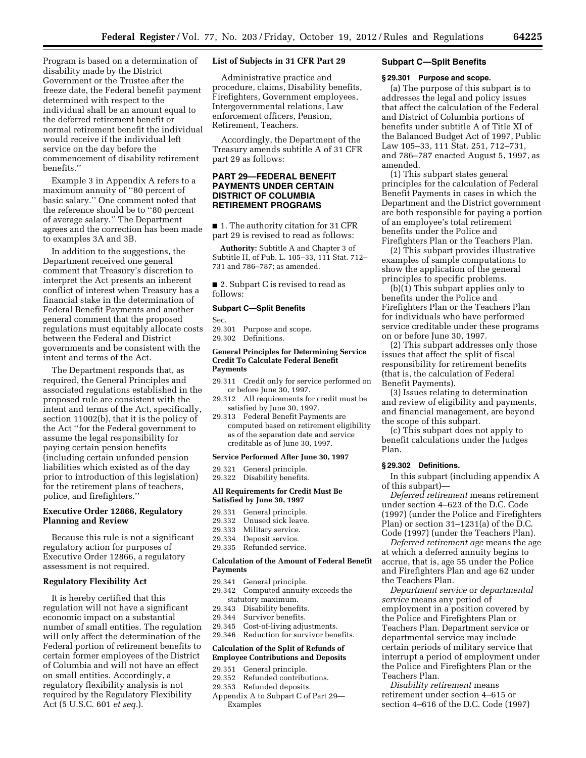Program is based on a determination of disability made by the District Government or the Trustee after the freeze date, the Federal benefit payment determined with respect to the individual shall be an amount equal to the deferred retirement benefit or normal retirement benefit the individual would receive if the individual left service on the day before the commencement of disability retirement benefits.''

Example 3 in Appendix A refers to a maximum annuity of ''80 percent of basic salary.'' One comment noted that the reference should be to ''80 percent of average salary.'' The Department agrees and the correction has been made to examples 3A and 3B.

In addition to the suggestions, the Department received one general comment that Treasury's discretion to interpret the Act presents an inherent conflict of interest when Treasury has a financial stake in the determination of Federal Benefit Payments and another general comment that the proposed regulations must equitably allocate costs between the Federal and District governments and be consistent with the intent and terms of the Act.

The Department responds that, as required, the General Principles and associated regulations established in the proposed rule are consistent with the intent and terms of the Act, specifically, section 11002(b), that it is the policy of the Act ''for the Federal government to assume the legal responsibility for paying certain pension benefits (including certain unfunded pension liabilities which existed as of the day prior to introduction of this legislation) for the retirement plans of teachers, police, and firefighters.''

### **Executive Order 12866, Regulatory Planning and Review**

Because this rule is not a significant regulatory action for purposes of Executive Order 12866, a regulatory assessment is not required.

### **Regulatory Flexibility Act**

It is hereby certified that this regulation will not have a significant economic impact on a substantial number of small entities. The regulation will only affect the determination of the Federal portion of retirement benefits to certain former employees of the District of Columbia and will not have an effect on small entities. Accordingly, a regulatory flexibility analysis is not required by the Regulatory Flexibility Act (5 U.S.C. 601 *et seq.*).

### **List of Subjects in 31 CFR Part 29**

Administrative practice and procedure, claims, Disability benefits, Firefighters, Government employees, Intergovernmental relations, Law enforcement officers, Pension, Retirement, Teachers.

Accordingly, the Department of the Treasury amends subtitle A of 31 CFR part 29 as follows:

### **PART 29—FEDERAL BENEFIT PAYMENTS UNDER CERTAIN DISTRICT OF COLUMBIA RETIREMENT PROGRAMS**

■ 1. The authority citation for 31 CFR part 29 is revised to read as follows:

**Authority:** Subtitle A and Chapter 3 of Subtitle H, of Pub. L. 105–33, 111 Stat. 712– 731 and 786–787; as amended.

■ 2. Subpart C is revised to read as follows:

### **Subpart C—Split Benefits**

Sec.

29.301 Purpose and scope. 29.302 Definitions.

#### **General Principles for Determining Service Credit To Calculate Federal Benefit Payments**

- 29.311 Credit only for service performed on or before June 30, 1997.
- 29.312 All requirements for credit must be satisfied by June 30, 1997.
- 29.313 Federal Benefit Payments are computed based on retirement eligibility as of the separation date and service creditable as of June 30, 1997.

#### **Service Performed After June 30, 1997**

29.321 General principle. 29.322 Disability benefits.

### **All Requirements for Credit Must Be Satisfied by June 30, 1997**

- 29.331 General principle.
- Unused sick leave.
- 29.333 Military service.
- 29.334 Deposit service.
- 29.335 Refunded service.

### **Calculation of the Amount of Federal Benefit Payments**

- 29.341 General principle.
- 29.342 Computed annuity exceeds the statutory maximum.
- 29.343 Disability benefits.
- 29.344 Survivor benefits.<br>29.345 Cost-of-living adju
- Cost-of-living adjustments.

## 29.346 Reduction for survivor benefits.

### **Calculation of the Split of Refunds of Employee Contributions and Deposits**

- 29.351 General principle.
- 29.352 Refunded contributions.
- 29.353 Refunded deposits.
- Appendix A to Subpart C of Part 29— Examples

### **Subpart C—Split Benefits**

### **§ 29.301 Purpose and scope.**

(a) The purpose of this subpart is to addresses the legal and policy issues that affect the calculation of the Federal and District of Columbia portions of benefits under subtitle A of Title XI of the Balanced Budget Act of 1997, Public Law 105–33, 111 Stat. 251, 712–731, and 786–787 enacted August 5, 1997, as amended.

(1) This subpart states general principles for the calculation of Federal Benefit Payments in cases in which the Department and the District government are both responsible for paying a portion of an employee's total retirement benefits under the Police and Firefighters Plan or the Teachers Plan.

(2) This subpart provides illustrative examples of sample computations to show the application of the general principles to specific problems.

 $(b)(1)$  This subpart applies only to benefits under the Police and Firefighters Plan or the Teachers Plan for individuals who have performed service creditable under these programs on or before June 30, 1997.

(2) This subpart addresses only those issues that affect the split of fiscal responsibility for retirement benefits (that is, the calculation of Federal Benefit Payments).

(3) Issues relating to determination and review of eligibility and payments, and financial management, are beyond the scope of this subpart.

(c) This subpart does not apply to benefit calculations under the Judges Plan.

#### **§ 29.302 Definitions.**

In this subpart (including appendix A of this subpart)—

*Deferred retirement* means retirement under section 4–623 of the D.C. Code (1997) (under the Police and Firefighters Plan) or section 31–1231(a) of the D.C. Code (1997) (under the Teachers Plan).

*Deferred retirement age* means the age at which a deferred annuity begins to accrue, that is, age 55 under the Police and Firefighters Plan and age 62 under the Teachers Plan.

*Department service* or *departmental service* means any period of employment in a position covered by the Police and Firefighters Plan or Teachers Plan. Department service or departmental service may include certain periods of military service that interrupt a period of employment under the Police and Firefighters Plan or the Teachers Plan.

*Disability retirement* means retirement under section 4–615 or section 4–616 of the D.C. Code (1997)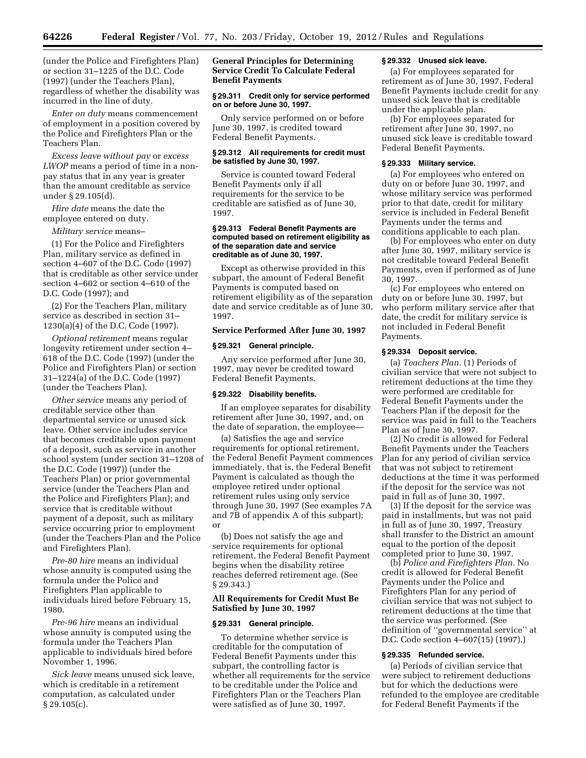(under the Police and Firefighters Plan) or section 31–1225 of the D.C. Code (1997) (under the Teachers Plan), regardless of whether the disability was incurred in the line of duty.

*Enter on duty* means commencement of employment in a position covered by the Police and Firefighters Plan or the Teachers Plan.

*Excess leave without pay* or *excess LWOP* means a period of time in a nonpay status that in any year is greater than the amount creditable as service under § 29.105(d).

*Hire date* means the date the employee entered on duty.

*Military service* means–

(1) For the Police and Firefighters Plan, military service as defined in section 4–607 of the D.C. Code (1997) that is creditable as other service under section 4–602 or section 4–610 of the D.C. Code (1997); and

(2) For the Teachers Plan, military service as described in section 31– 1230(a)(4) of the D.C. Code (1997).

*Optional retirement* means regular longevity retirement under section 4– 618 of the D.C. Code (1997) (under the Police and Firefighters Plan) or section 31–1224(a) of the D.C. Code (1997) (under the Teachers Plan).

*Other service* means any period of creditable service other than departmental service or unused sick leave. Other service includes service that becomes creditable upon payment of a deposit, such as service in another school system (under section 31–1208 of the D.C. Code (1997)) (under the Teachers Plan) or prior governmental service (under the Teachers Plan and the Police and Firefighters Plan); and service that is creditable without payment of a deposit, such as military service occurring prior to employment (under the Teachers Plan and the Police and Firefighters Plan).

*Pre-80 hire* means an individual whose annuity is computed using the formula under the Police and Firefighters Plan applicable to individuals hired before February 15, 1980.

*Pre-96 hire* means an individual whose annuity is computed using the formula under the Teachers Plan applicable to individuals hired before November 1, 1996.

*Sick leave* means unused sick leave, which is creditable in a retirement computation, as calculated under § 29.105(c).

### **General Principles for Determining Service Credit To Calculate Federal Benefit Payments**

### **§ 29.311 Credit only for service performed on or before June 30, 1997.**

Only service performed on or before June 30, 1997, is credited toward Federal Benefit Payments.

#### **§ 29.312 All requirements for credit must be satisfied by June 30, 1997.**

Service is counted toward Federal Benefit Payments only if all requirements for the service to be creditable are satisfied as of June 30, 1997.

### **§ 29.313 Federal Benefit Payments are computed based on retirement eligibility as of the separation date and service creditable as of June 30, 1997.**

Except as otherwise provided in this subpart, the amount of Federal Benefit Payments is computed based on retirement eligibility as of the separation date and service creditable as of June 30, 1997.

### **Service Performed After June 30, 1997**

### **§ 29.321 General principle.**

Any service performed after June 30, 1997, may never be credited toward Federal Benefit Payments.

### **§ 29.322 Disability benefits.**

If an employee separates for disability retirement after June 30, 1997, and, on the date of separation, the employee—

(a) Satisfies the age and service requirements for optional retirement, the Federal Benefit Payment commences immediately, that is, the Federal Benefit Payment is calculated as though the employee retired under optional retirement rules using only service through June 30, 1997 (See examples 7A and 7B of appendix A of this subpart); or

(b) Does not satisfy the age and service requirements for optional retirement, the Federal Benefit Payment begins when the disability retiree reaches deferred retirement age. (See § 29.343.)

### **All Requirements for Credit Must Be Satisfied by June 30, 1997**

### **§ 29.331 General principle.**

To determine whether service is creditable for the computation of Federal Benefit Payments under this subpart, the controlling factor is whether all requirements for the service to be creditable under the Police and Firefighters Plan or the Teachers Plan were satisfied as of June 30, 1997.

### **§ 29.332 Unused sick leave.**

(a) For employees separated for retirement as of June 30, 1997, Federal Benefit Payments include credit for any unused sick leave that is creditable under the applicable plan.

(b) For employees separated for retirement after June 30, 1997, no unused sick leave is creditable toward Federal Benefit Payments.

### **§ 29.333 Military service.**

(a) For employees who entered on duty on or before June 30, 1997, and whose military service was performed prior to that date, credit for military service is included in Federal Benefit Payments under the terms and conditions applicable to each plan.

(b) For employees who enter on duty after June 30, 1997, military service is not creditable toward Federal Benefit Payments, even if performed as of June 30, 1997.

(c) For employees who entered on duty on or before June 30, 1997, but who perform military service after that date, the credit for military service is not included in Federal Benefit Payments.

### **§ 29.334 Deposit service.**

(a) *Teachers Plan.* (1) Periods of civilian service that were not subject to retirement deductions at the time they were performed are creditable for Federal Benefit Payments under the Teachers Plan if the deposit for the service was paid in full to the Teachers Plan as of June 30, 1997.

(2) No credit is allowed for Federal Benefit Payments under the Teachers Plan for any period of civilian service that was not subject to retirement deductions at the time it was performed if the deposit for the service was not paid in full as of June 30, 1997.

(3) If the deposit for the service was paid in installments, but was not paid in full as of June 30, 1997, Treasury shall transfer to the District an amount equal to the portion of the deposit completed prior to June 30, 1997.

(b) *Police and Firefighters Plan.* No credit is allowed for Federal Benefit Payments under the Police and Firefighters Plan for any period of civilian service that was not subject to retirement deductions at the time that the service was performed. (See definition of ''governmental service'' at D.C. Code section 4–607(15) (1997).)

### **§ 29.335 Refunded service.**

(a) Periods of civilian service that were subject to retirement deductions but for which the deductions were refunded to the employee are creditable for Federal Benefit Payments if the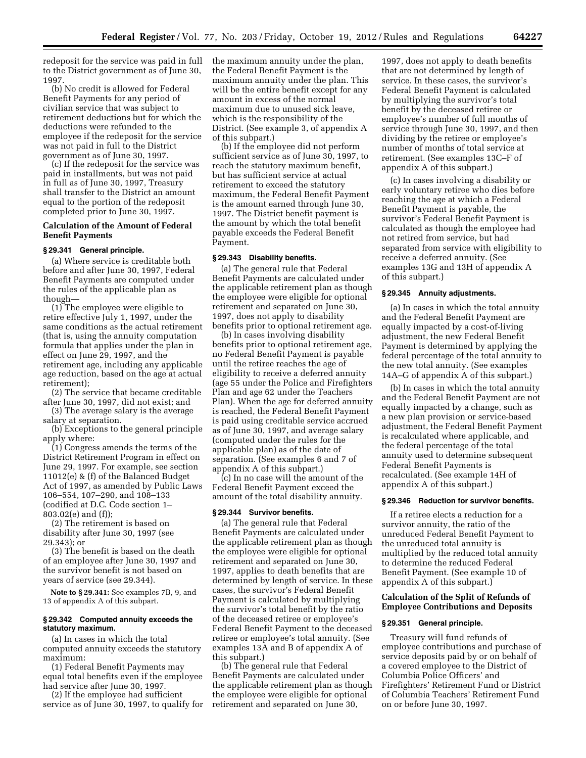redeposit for the service was paid in full to the District government as of June 30, 1997.

(b) No credit is allowed for Federal Benefit Payments for any period of civilian service that was subject to retirement deductions but for which the deductions were refunded to the employee if the redeposit for the service was not paid in full to the District government as of June 30, 1997.

(c) If the redeposit for the service was paid in installments, but was not paid in full as of June 30, 1997, Treasury shall transfer to the District an amount equal to the portion of the redeposit completed prior to June 30, 1997.

### **Calculation of the Amount of Federal Benefit Payments**

### **§ 29.341 General principle.**

(a) Where service is creditable both before and after June 30, 1997, Federal Benefit Payments are computed under the rules of the applicable plan as though—

(1) The employee were eligible to retire effective July 1, 1997, under the same conditions as the actual retirement (that is, using the annuity computation formula that applies under the plan in effect on June 29, 1997, and the retirement age, including any applicable age reduction, based on the age at actual retirement);

(2) The service that became creditable after June 30, 1997, did not exist; and

(3) The average salary is the average salary at separation.

(b) Exceptions to the general principle apply where:

(1) Congress amends the terms of the District Retirement Program in effect on June 29, 1997. For example, see section 11012(e) & (f) of the Balanced Budget Act of 1997, as amended by Public Laws 106–554, 107–290, and 108–133 (codified at D.C. Code section 1– 803.02(e) and (f));

(2) The retirement is based on disability after June 30, 1997 (see 29.343); or

(3) The benefit is based on the death of an employee after June 30, 1997 and the survivor benefit is not based on years of service (see 29.344).

**Note to § 29.341:** See examples 7B, 9, and 13 of appendix A of this subpart.

### **§ 29.342 Computed annuity exceeds the statutory maximum.**

(a) In cases in which the total computed annuity exceeds the statutory maximum:

(1) Federal Benefit Payments may equal total benefits even if the employee had service after June 30, 1997.

(2) If the employee had sufficient service as of June 30, 1997, to qualify for the maximum annuity under the plan, the Federal Benefit Payment is the maximum annuity under the plan. This will be the entire benefit except for any amount in excess of the normal maximum due to unused sick leave, which is the responsibility of the District. (See example 3, of appendix A of this subpart.)

(b) If the employee did not perform sufficient service as of June 30, 1997, to reach the statutory maximum benefit, but has sufficient service at actual retirement to exceed the statutory maximum, the Federal Benefit Payment is the amount earned through June 30, 1997. The District benefit payment is the amount by which the total benefit payable exceeds the Federal Benefit Payment.

### **§ 29.343 Disability benefits.**

(a) The general rule that Federal Benefit Payments are calculated under the applicable retirement plan as though the employee were eligible for optional retirement and separated on June 30, 1997, does not apply to disability benefits prior to optional retirement age.

(b) In cases involving disability benefits prior to optional retirement age, no Federal Benefit Payment is payable until the retiree reaches the age of eligibility to receive a deferred annuity (age 55 under the Police and Firefighters Plan and age 62 under the Teachers Plan). When the age for deferred annuity is reached, the Federal Benefit Payment is paid using creditable service accrued as of June 30, 1997, and average salary (computed under the rules for the applicable plan) as of the date of separation. (See examples 6 and 7 of appendix A of this subpart.)

(c) In no case will the amount of the Federal Benefit Payment exceed the amount of the total disability annuity.

### **§ 29.344 Survivor benefits.**

(a) The general rule that Federal Benefit Payments are calculated under the applicable retirement plan as though the employee were eligible for optional retirement and separated on June 30, 1997, applies to death benefits that are determined by length of service. In these cases, the survivor's Federal Benefit Payment is calculated by multiplying the survivor's total benefit by the ratio of the deceased retiree or employee's Federal Benefit Payment to the deceased retiree or employee's total annuity. (See examples 13A and B of appendix A of this subpart.)

(b) The general rule that Federal Benefit Payments are calculated under the applicable retirement plan as though the employee were eligible for optional retirement and separated on June 30,

1997, does not apply to death benefits that are not determined by length of service. In these cases, the survivor's Federal Benefit Payment is calculated by multiplying the survivor's total benefit by the deceased retiree or employee's number of full months of service through June 30, 1997, and then dividing by the retiree or employee's number of months of total service at retirement. (See examples 13C–F of appendix A of this subpart.)

(c) In cases involving a disability or early voluntary retiree who dies before reaching the age at which a Federal Benefit Payment is payable, the survivor's Federal Benefit Payment is calculated as though the employee had not retired from service, but had separated from service with eligibility to receive a deferred annuity. (See examples 13G and 13H of appendix A of this subpart.)

### **§ 29.345 Annuity adjustments.**

(a) In cases in which the total annuity and the Federal Benefit Payment are equally impacted by a cost-of-living adjustment, the new Federal Benefit Payment is determined by applying the federal percentage of the total annuity to the new total annuity. (See examples 14A–G of appendix A of this subpart.)

(b) In cases in which the total annuity and the Federal Benefit Payment are not equally impacted by a change, such as a new plan provision or service-based adjustment, the Federal Benefit Payment is recalculated where applicable, and the federal percentage of the total annuity used to determine subsequent Federal Benefit Payments is recalculated. (See example 14H of appendix A of this subpart.)

### **§ 29.346 Reduction for survivor benefits.**

If a retiree elects a reduction for a survivor annuity, the ratio of the unreduced Federal Benefit Payment to the unreduced total annuity is multiplied by the reduced total annuity to determine the reduced Federal Benefit Payment. (See example 10 of appendix A of this subpart.)

### **Calculation of the Split of Refunds of Employee Contributions and Deposits**

#### **§ 29.351 General principle.**

Treasury will fund refunds of employee contributions and purchase of service deposits paid by or on behalf of a covered employee to the District of Columbia Police Officers' and Firefighters' Retirement Fund or District of Columbia Teachers' Retirement Fund on or before June 30, 1997.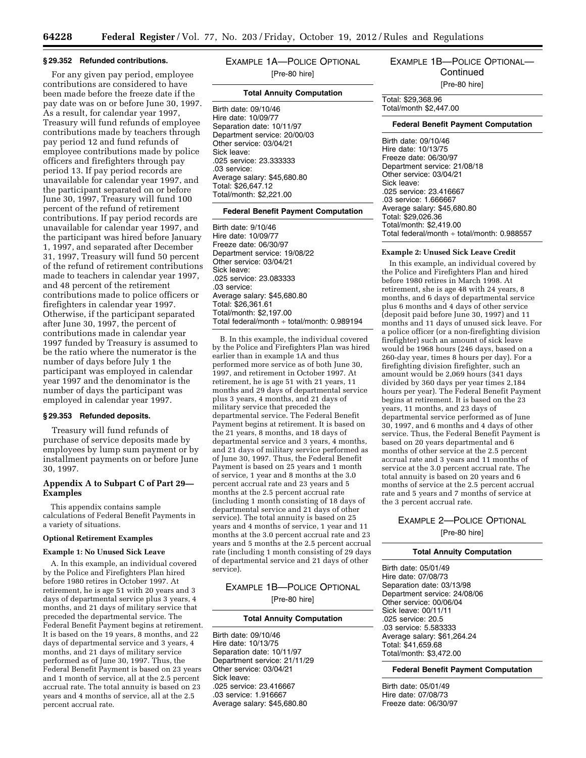#### **§ 29.352 Refunded contributions.**

For any given pay period, employee contributions are considered to have been made before the freeze date if the pay date was on or before June 30, 1997. As a result, for calendar year 1997, Treasury will fund refunds of employee contributions made by teachers through pay period 12 and fund refunds of employee contributions made by police officers and firefighters through pay period 13. If pay period records are unavailable for calendar year 1997, and the participant separated on or before June 30, 1997, Treasury will fund 100 percent of the refund of retirement contributions. If pay period records are unavailable for calendar year 1997, and the participant was hired before January 1, 1997, and separated after December 31, 1997, Treasury will fund 50 percent of the refund of retirement contributions made to teachers in calendar year 1997, and 48 percent of the retirement contributions made to police officers or firefighters in calendar year 1997. Otherwise, if the participant separated after June 30, 1997, the percent of contributions made in calendar year 1997 funded by Treasury is assumed to be the ratio where the numerator is the number of days before July 1 the participant was employed in calendar year 1997 and the denominator is the number of days the participant was employed in calendar year 1997.

### **§ 29.353 Refunded deposits.**

Treasury will fund refunds of purchase of service deposits made by employees by lump sum payment or by installment payments on or before June 30, 1997.

### **Appendix A to Subpart C of Part 29— Examples**

This appendix contains sample calculations of Federal Benefit Payments in a variety of situations.

### **Optional Retirement Examples**

#### **Example 1: No Unused Sick Leave**

A. In this example, an individual covered by the Police and Firefighters Plan hired before 1980 retires in October 1997. At retirement, he is age 51 with 20 years and 3 days of departmental service plus 3 years, 4 months, and 21 days of military service that preceded the departmental service. The Federal Benefit Payment begins at retirement. It is based on the 19 years, 8 months, and 22 days of departmental service and 3 years, 4 months, and 21 days of military service performed as of June 30, 1997. Thus, the Federal Benefit Payment is based on 23 years and 1 month of service, all at the 2.5 percent accrual rate. The total annuity is based on 23 years and 4 months of service, all at the 2.5 percent accrual rate.

EXAMPLE 1A—POLICE OPTIONAL [Pre-80 hire]

### **Total Annuity Computation**

Birth date: 09/10/46 Hire date: 10/09/77 Separation date: 10/11/97 Department service: 20/00/03 Other service: 03/04/21 Sick leave: .025 service: 23.333333 .03 service: Average salary: \$45,680.80 Total: \$26,647.12 Total/month: \$2,221.00

#### **Federal Benefit Payment Computation**

Birth date: 9/10/46 Hire date: 10/09/77 Freeze date: 06/30/97 Department service: 19/08/22 Other service: 03/04/21 Sick leave: .025 service: 23.083333 .03 service: Average salary: \$45,680.80 Total: \$26,361.61 Total/month: \$2,197.00 Total federal/month ÷ total/month: 0.989194

B. In this example, the individual covered by the Police and Firefighters Plan was hired earlier than in example 1A and thus performed more service as of both June 30, 1997, and retirement in October 1997. At retirement, he is age 51 with 21 years, 11 months and 29 days of departmental service plus 3 years, 4 months, and 21 days of military service that preceded the departmental service. The Federal Benefit Payment begins at retirement. It is based on the 21 years, 8 months, and 18 days of departmental service and 3 years, 4 months, and 21 days of military service performed as of June 30, 1997. Thus, the Federal Benefit Payment is based on 25 years and 1 month of service, 1 year and 8 months at the 3.0 percent accrual rate and 23 years and 5 months at the 2.5 percent accrual rate (including 1 month consisting of 18 days of departmental service and 21 days of other service). The total annuity is based on 25 years and 4 months of service, 1 year and 11 months at the 3.0 percent accrual rate and 23 years and 5 months at the 2.5 percent accrual rate (including 1 month consisting of 29 days of departmental service and 21 days of other service).

### EXAMPLE 1B—POLICE OPTIONAL [Pre-80 hire]

#### **Total Annuity Computation**

Birth date: 09/10/46 Hire date: 10/13/75 Separation date: 10/11/97 Department service: 21/11/29 Other service: 03/04/21 Sick leave: .025 service: 23.416667 .03 service: 1.916667 Average salary: \$45,680.80

EXAMPLE 1B—POLICE OPTIONAL— **Continued** [Pre-80 hire]

Total: \$29,368.96 Total/month \$2,447.00

#### **Federal Benefit Payment Computation**

Birth date: 09/10/46 Hire date: 10/13/75 Freeze date: 06/30/97 Department service: 21/08/18 Other service: 03/04/21 Sick leave: .025 service: 23.416667 .03 service: 1.666667 Average salary: \$45,680.80 Total: \$29,026.36 Total/month: \$2,419.00 Total federal/month ÷ total/month: 0.988557

### **Example 2: Unused Sick Leave Credit**

In this example, an individual covered by the Police and Firefighters Plan and hired before 1980 retires in March 1998. At retirement, she is age 48 with 24 years, 8 months, and 6 days of departmental service plus 6 months and 4 days of other service (deposit paid before June 30, 1997) and 11 months and 11 days of unused sick leave. For a police officer (or a non-firefighting division firefighter) such an amount of sick leave would be 1968 hours (246 days, based on a 260-day year, times 8 hours per day). For a firefighting division firefighter, such an amount would be 2,069 hours (341 days divided by 360 days per year times 2,184 hours per year). The Federal Benefit Payment begins at retirement. It is based on the 23 years, 11 months, and 23 days of departmental service performed as of June 30, 1997, and 6 months and 4 days of other service. Thus, the Federal Benefit Payment is based on 20 years departmental and 6 months of other service at the 2.5 percent accrual rate and 3 years and 11 months of service at the 3.0 percent accrual rate. The total annuity is based on 20 years and 6 months of service at the 2.5 percent accrual rate and 5 years and 7 months of service at the 3 percent accrual rate.

### EXAMPLE 2—POLICE OPTIONAL

[Pre-80 hire]

#### **Total Annuity Computation**

Birth date: 05/01/49 Hire date: 07/08/73 Separation date: 03/13/98 Department service: 24/08/06 Other service: 00/06/04 Sick leave: 00/11/11 .025 service: 20.5 .03 service: 5.583333 Average salary: \$61,264.24 Total: \$41,659.68 Total/month: \$3,472.00

### **Federal Benefit Payment Computation**

Birth date: 05/01/49 Hire date: 07/08/73 Freeze date: 06/30/97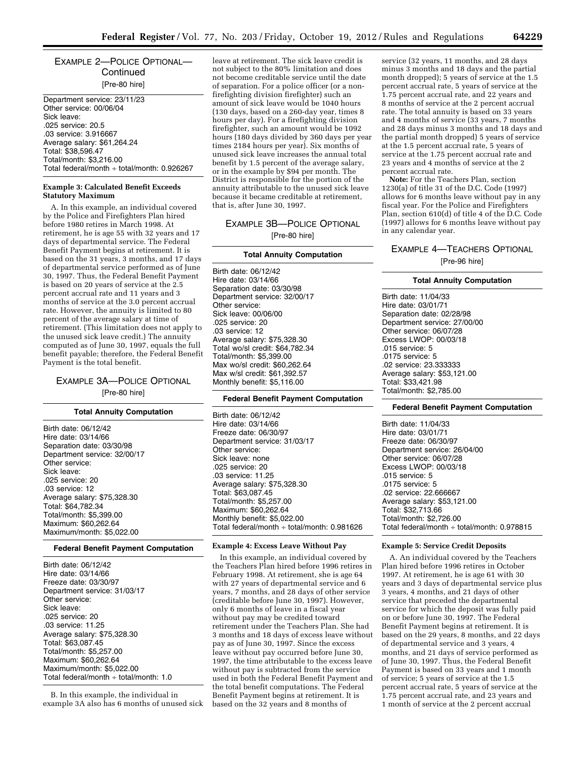### EXAMPLE 2—POLICE OPTIONAL— **Continued** [Pre-80 hire]

Department service: 23/11/23 Other service: 00/06/04 Sick leave: .025 service: 20.5 .03 service: 3.916667 Average salary: \$61,264.24 Total: \$38,596.47 Total/month: \$3,216.00 Total federal/month ÷ total/month: 0.926267

### **Example 3: Calculated Benefit Exceeds Statutory Maximum**

A. In this example, an individual covered by the Police and Firefighters Plan hired before 1980 retires in March 1998. At retirement, he is age 55 with 32 years and 17 days of departmental service. The Federal Benefit Payment begins at retirement. It is based on the 31 years, 3 months, and 17 days of departmental service performed as of June 30, 1997. Thus, the Federal Benefit Payment is based on 20 years of service at the 2.5 percent accrual rate and 11 years and 3 months of service at the 3.0 percent accrual rate. However, the annuity is limited to 80 percent of the average salary at time of retirement. (This limitation does not apply to the unused sick leave credit.) The annuity computed as of June 30, 1997, equals the full benefit payable; therefore, the Federal Benefit Payment is the total benefit.

### EXAMPLE 3A—POLICE OPTIONAL [Pre-80 hire]

### **Total Annuity Computation**

Birth date: 06/12/42 Hire date: 03/14/66 Separation date: 03/30/98 Department service: 32/00/17 Other service: Sick leave: .025 service: 20 .03 service: 12 Average salary: \$75,328.30 Total: \$64,782.34 Total/month: \$5,399.00 Maximum: \$60,262.64 Maximum/month: \$5,022.00

### **Federal Benefit Payment Computation**

Birth date: 06/12/42 Hire date: 03/14/66 Freeze date: 03/30/97 Department service: 31/03/17 Other service: Sick leave: .025 service: 20 .03 service: 11.25 Average salary: \$75,328.30 Total: \$63,087.45 Total/month: \$5,257.00 Maximum: \$60,262.64 Maximum/month: \$5,022.00 Total federal/month ÷ total/month: 1.0

B. In this example, the individual in example 3A also has 6 months of unused sick leave at retirement. The sick leave credit is not subject to the 80% limitation and does not become creditable service until the date of separation. For a police officer (or a nonfirefighting division firefighter) such an amount of sick leave would be 1040 hours (130 days, based on a 260-day year, times 8 hours per day). For a firefighting division firefighter, such an amount would be 1092 hours (180 days divided by 360 days per year times 2184 hours per year). Six months of unused sick leave increases the annual total benefit by 1.5 percent of the average salary, or in the example by \$94 per month. The District is responsible for the portion of the annuity attributable to the unused sick leave because it became creditable at retirement, that is, after June 30, 1997.

# EXAMPLE 3B—POLICE OPTIONAL

[Pre-80 hire]

#### **Total Annuity Computation**

Birth date: 06/12/42 Hire date: 03/14/66 Separation date: 03/30/98 Department service: 32/00/17 Other service: Sick leave: 00/06/00 .025 service: 20 .03 service: 12 Average salary: \$75,328.30 Total wo/sl credit: \$64,782.34 Total/month: \$5,399.00 Max wo/sl credit: \$60,262.64 Max w/sl credit: \$61,392.57 Monthly benefit: \$5,116.00

### **Federal Benefit Payment Computation**

Birth date: 06/12/42 Hire date: 03/14/66 Freeze date: 06/30/97 Department service: 31/03/17 Other service: Sick leave: none .025 service: 20 .03 service: 11.25 Average salary: \$75,328.30 Total: \$63,087.45 Total/month: \$5,257.00 Maximum: \$60,262.64 Monthly benefit: \$5,022.00 Total federal/month ÷ total/month: 0.981626

### **Example 4: Excess Leave Without Pay**

In this example, an individual covered by the Teachers Plan hired before 1996 retires in February 1998. At retirement, she is age 64 with 27 years of departmental service and 6 years, 7 months, and 28 days of other service (creditable before June 30, 1997). However, only 6 months of leave in a fiscal year without pay may be credited toward retirement under the Teachers Plan. She had 3 months and 18 days of excess leave without pay as of June 30, 1997. Since the excess leave without pay occurred before June 30, 1997, the time attributable to the excess leave without pay is subtracted from the service used in both the Federal Benefit Payment and the total benefit computations. The Federal Benefit Payment begins at retirement. It is based on the 32 years and 8 months of

service (32 years, 11 months, and 28 days minus 3 months and 18 days and the partial month dropped); 5 years of service at the 1.5 percent accrual rate, 5 years of service at the 1.75 percent accrual rate, and 22 years and 8 months of service at the 2 percent accrual rate. The total annuity is based on 33 years and 4 months of service (33 years, 7 months and 28 days minus 3 months and 18 days and the partial month dropped) 5 years of service at the 1.5 percent accrual rate, 5 years of service at the 1.75 percent accrual rate and 23 years and 4 months of service at the 2 percent accrual rate.

**Note:** For the Teachers Plan, section 1230(a) of title 31 of the D.C. Code (1997) allows for 6 months leave without pay in any fiscal year. For the Police and Firefighters Plan, section 610(d) of title 4 of the D.C. Code (1997) allows for 6 months leave without pay in any calendar year.

### EXAMPLE 4—TEACHERS OPTIONAL

[Pre-96 hire]

### **Total Annuity Computation**

Birth date: 11/04/33 Hire date: 03/01/71 Separation date: 02/28/98 Department service: 27/00/00 Other service: 06/07/28 Excess LWOP: 00/03/18 .015 service: 5 .0175 service: 5 .02 service: 23.333333 Average salary: \$53,121.00 Total: \$33,421.98 Total/month: \$2,785.00

### **Federal Benefit Payment Computation**

Birth date: 11/04/33 Hire date: 03/01/71 Freeze date: 06/30/97 Department service: 26/04/00 Other service: 06/07/28 Excess LWOP: 00/03/18 .015 service: 5 .0175 service: 5 .02 service: 22.666667 Average salary: \$53,121.00 Total: \$32,713.66 Total/month: \$2,726.00 Total federal/month ÷ total/month: 0.978815

### **Example 5: Service Credit Deposits**

A. An individual covered by the Teachers Plan hired before 1996 retires in October 1997. At retirement, he is age 61 with 30 years and 3 days of departmental service plus 3 years, 4 months, and 21 days of other service that preceded the departmental service for which the deposit was fully paid on or before June 30, 1997. The Federal Benefit Payment begins at retirement. It is based on the 29 years, 8 months, and 22 days of departmental service and 3 years, 4 months, and 21 days of service performed as of June 30, 1997. Thus, the Federal Benefit Payment is based on 33 years and 1 month of service; 5 years of service at the 1.5 percent accrual rate, 5 years of service at the 1.75 percent accrual rate, and 23 years and 1 month of service at the 2 percent accrual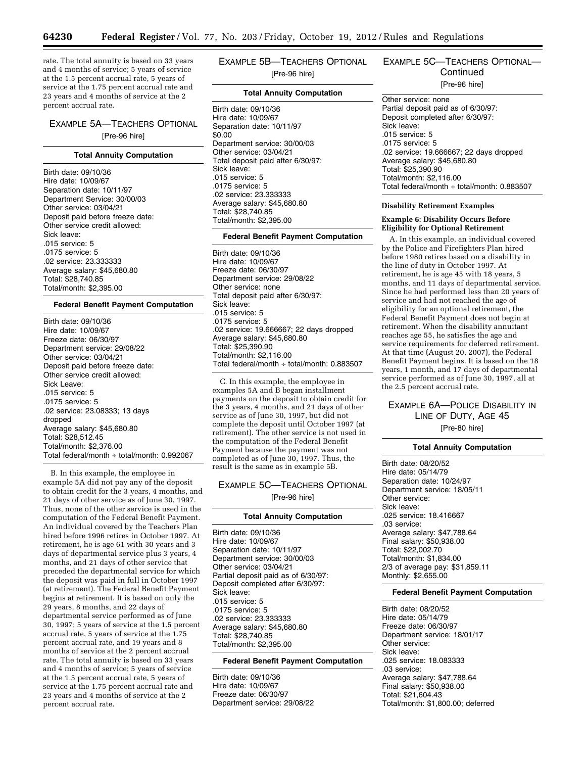rate. The total annuity is based on 33 years and 4 months of service; 5 years of service at the 1.5 percent accrual rate, 5 years of service at the 1.75 percent accrual rate and 23 years and 4 months of service at the 2 percent accrual rate.

### EXAMPLE 5A—TEACHERS OPTIONAL [Pre-96 hire]

#### **Total Annuity Computation**

Birth date: 09/10/36 Hire date: 10/09/67 Separation date: 10/11/97 Department Service: 30/00/03 Other service: 03/04/21 Deposit paid before freeze date: Other service credit allowed: Sick leave: .015 service: 5 .0175 service: 5 .02 service: 23.333333 Average salary: \$45,680.80 Total: \$28,740.85 Total/month: \$2,395.00

### **Federal Benefit Payment Computation**

Birth date: 09/10/36 Hire date: 10/09/67 Freeze date: 06/30/97 Department service: 29/08/22 Other service: 03/04/21 Deposit paid before freeze date: Other service credit allowed: Sick Leave: .015 service: 5 .0175 service: 5 .02 service: 23.08333; 13 days dropped Average salary: \$45,680.80 Total: \$28,512.45 Total/month: \$2,376.00 Total federal/month  $\div$  total/month: 0.992067

B. In this example, the employee in example 5A did not pay any of the deposit to obtain credit for the 3 years, 4 months, and 21 days of other service as of June 30, 1997. Thus, none of the other service is used in the computation of the Federal Benefit Payment. An individual covered by the Teachers Plan hired before 1996 retires in October 1997. At retirement, he is age 61 with 30 years and 3 days of departmental service plus 3 years, 4 months, and 21 days of other service that preceded the departmental service for which the deposit was paid in full in October 1997 (at retirement). The Federal Benefit Payment begins at retirement. It is based on only the 29 years, 8 months, and 22 days of departmental service performed as of June 30, 1997; 5 years of service at the 1.5 percent accrual rate, 5 years of service at the 1.75 percent accrual rate, and 19 years and 8 months of service at the 2 percent accrual rate. The total annuity is based on 33 years and 4 months of service; 5 years of service at the 1.5 percent accrual rate, 5 years of service at the 1.75 percent accrual rate and 23 years and 4 months of service at the 2 percent accrual rate.

EXAMPLE 5B—TEACHERS OPTIONAL [Pre-96 hire]

### **Total Annuity Computation**

Birth date: 09/10/36 Hire date: 10/09/67 Separation date: 10/11/97 \$0.00 Department service: 30/00/03 Other service: 03/04/21 Total deposit paid after 6/30/97: Sick leave: .015 service: 5 .0175 service: 5 .02 service: 23.333333 Average salary: \$45,680.80 Total: \$28,740.85 Total/month: \$2,395.00

### **Federal Benefit Payment Computation**

Birth date: 09/10/36 Hire date: 10/09/67 Freeze date: 06/30/97 Department service: 29/08/22 Other service: none Total deposit paid after 6/30/97: Sick leave: .015 service: 5 .0175 service: 5 .02 service: 19.666667; 22 days dropped Average salary: \$45,680.80 Total: \$25,390.90 Total/month: \$2,116.00 Total federal/month ÷ total/month: 0.883507

C. In this example, the employee in examples 5A and B began installment payments on the deposit to obtain credit for the 3 years, 4 months, and 21 days of other service as of June 30, 1997, but did not complete the deposit until October 1997 (at retirement). The other service is not used in the computation of the Federal Benefit Payment because the payment was not completed as of June 30, 1997. Thus, the result is the same as in example 5B.

### EXAMPLE 5C—TEACHERS OPTIONAL [Pre-96 hire]

### **Total Annuity Computation**

Birth date: 09/10/36 Hire date: 10/09/67 Separation date: 10/11/97 Department service: 30/00/03 Other service: 03/04/21 Partial deposit paid as of 6/30/97: Deposit completed after 6/30/97: Sick leave: .015 service: 5 .0175 service: 5 .02 service: 23.333333 Average salary: \$45,680.80 Total: \$28,740.85 Total/month: \$2,395.00

### **Federal Benefit Payment Computation**

Birth date: 09/10/36 Hire date: 10/09/67 Freeze date: 06/30/97 Department service: 29/08/22

### EXAMPLE 5C—TEACHERS OPTIONAL— **Continued**

[Pre-96 hire]

Other service: none Partial deposit paid as of 6/30/97: Deposit completed after 6/30/97: Sick leave: .015 service: 5 .0175 service: 5 .02 service: 19.666667; 22 days dropped Average salary: \$45,680.80 Total: \$25,390.90 Total/month: \$2,116.00 Total federal/month ÷ total/month: 0.883507

### **Disability Retirement Examples**

### **Example 6: Disability Occurs Before Eligibility for Optional Retirement**

A. In this example, an individual covered by the Police and Firefighters Plan hired before 1980 retires based on a disability in the line of duty in October 1997. At retirement, he is age 45 with 18 years, 5 months, and 11 days of departmental service. Since he had performed less than 20 years of service and had not reached the age of eligibility for an optional retirement, the Federal Benefit Payment does not begin at retirement. When the disability annuitant reaches age 55, he satisfies the age and service requirements for deferred retirement. At that time (August 20, 2007), the Federal Benefit Payment begins. It is based on the 18 years, 1 month, and 17 days of departmental service performed as of June 30, 1997, all at the 2.5 percent accrual rate.

## EXAMPLE 6A—POLICE DISABILITY IN LINE OF DUTY, AGE 45

[Pre-80 hire]

### **Total Annuity Computation**

Birth date: 08/20/52 Hire date: 05/14/79 Separation date: 10/24/97 Department service: 18/05/11 Other service: Sick leave: .025 service: 18.416667 .03 service: Average salary: \$47,788.64 Final salary: \$50,938.00 Total: \$22,002.70 Total/month: \$1,834.00 2/3 of average pay: \$31,859.11 Monthly: \$2,655.00

### **Federal Benefit Payment Computation**

Birth date: 08/20/52 Hire date: 05/14/79 Freeze date: 06/30/97 Department service: 18/01/17 Other service: Sick leave: .025 service: 18.083333 .03 service: Average salary: \$47,788.64 Final salary: \$50,938.00 Total: \$21,604.43 Total/month: \$1,800.00; deferred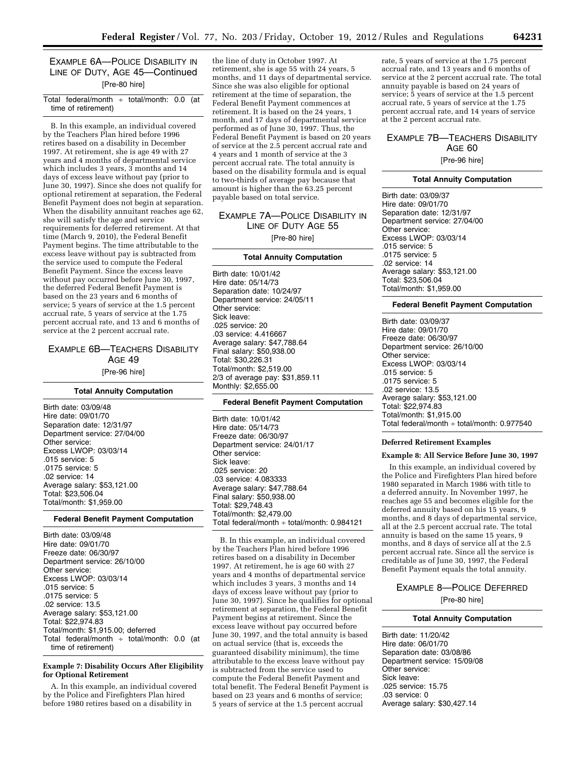### EXAMPLE 6A—POLICE DISABILITY IN LINE OF DUTY, AGE 45—Continued [Pre-80 hire]

### Total federal/month ÷ total/month: 0.0 (at time of retirement)

B. In this example, an individual covered by the Teachers Plan hired before 1996 retires based on a disability in December 1997. At retirement, she is age 49 with 27 years and 4 months of departmental service which includes 3 years, 3 months and 14 days of excess leave without pay (prior to June 30, 1997). Since she does not qualify for optional retirement at separation, the Federal Benefit Payment does not begin at separation. When the disability annuitant reaches age 62, she will satisfy the age and service requirements for deferred retirement. At that time (March 9, 2010), the Federal Benefit Payment begins. The time attributable to the excess leave without pay is subtracted from the service used to compute the Federal Benefit Payment. Since the excess leave without pay occurred before June 30, 1997, the deferred Federal Benefit Payment is based on the 23 years and 6 months of service; 5 years of service at the 1.5 percent accrual rate, 5 years of service at the 1.75 percent accrual rate, and 13 and 6 months of service at the 2 percent accrual rate.

### EXAMPLE 6B—TEACHERS DISABILITY AGE 49 [Pre-96 hire]

### **Total Annuity Computation**

Birth date: 03/09/48 Hire date: 09/01/70 Separation date: 12/31/97 Department service: 27/04/00 Other service: Excess LWOP: 03/03/14 .015 service: 5 .0175 service: 5 .02 service: 14 Average salary: \$53,121.00 Total: \$23,506.04 Total/month: \$1,959.00

### **Federal Benefit Payment Computation**

Birth date: 03/09/48 Hire date: 09/01/70 Freeze date: 06/30/97 Department service: 26/10/00 Other service: Excess LWOP: 03/03/14 .015 service: 5 .0175 service: 5 .02 service: 13.5 Average salary: \$53,121.00 Total: \$22,974.83 Total/month: \$1,915.00; deferred Total federal/month  $\div$  total/month: 0.0 (at time of retirement)

### **Example 7: Disability Occurs After Eligibility for Optional Retirement**

A. In this example, an individual covered by the Police and Firefighters Plan hired before 1980 retires based on a disability in

the line of duty in October 1997. At retirement, she is age 55 with 24 years, 5 months, and 11 days of departmental service. Since she was also eligible for optional retirement at the time of separation, the Federal Benefit Payment commences at retirement. It is based on the 24 years, 1 month, and 17 days of departmental service performed as of June 30, 1997. Thus, the Federal Benefit Payment is based on 20 years of service at the 2.5 percent accrual rate and 4 years and 1 month of service at the 3 percent accrual rate. The total annuity is based on the disability formula and is equal to two-thirds of average pay because that amount is higher than the 63.25 percent payable based on total service.

### EXAMPLE 7A—POLICE DISABILITY IN LINE OF DUTY AGE 55 [Pre-80 hire]

### **Total Annuity Computation**

Birth date: 10/01/42 Hire date: 05/14/73 Separation date: 10/24/97 Department service: 24/05/11 Other service: Sick leave: .025 service: 20 .03 service: 4.416667 Average salary: \$47,788.64 Final salary: \$50,938.00 Total: \$30,226.31 Total/month: \$2,519.00 2/3 of average pay: \$31,859.11 Monthly: \$2,655.00

### **Federal Benefit Payment Computation**

Birth date: 10/01/42 Hire date: 05/14/73 Freeze date: 06/30/97 Department service: 24/01/17 Other service: Sick leave: .025 service: 20 .03 service: 4.083333 Average salary: \$47,788.64 Final salary: \$50,938.00 Total: \$29,748.43 Total/month: \$2,479.00 Total federal/month ÷ total/month: 0.984121

B. In this example, an individual covered by the Teachers Plan hired before 1996 retires based on a disability in December 1997. At retirement, he is age 60 with 27 years and 4 months of departmental service which includes 3 years, 3 months and 14 days of excess leave without pay (prior to June 30, 1997). Since he qualifies for optional retirement at separation, the Federal Benefit Payment begins at retirement. Since the excess leave without pay occurred before June 30, 1997, and the total annuity is based on actual service (that is, exceeds the guaranteed disability minimum), the time attributable to the excess leave without pay is subtracted from the service used to compute the Federal Benefit Payment and total benefit. The Federal Benefit Payment is based on 23 years and 6 months of service; 5 years of service at the 1.5 percent accrual

rate, 5 years of service at the 1.75 percent accrual rate, and 13 years and 6 months of service at the 2 percent accrual rate. The total annuity payable is based on 24 years of service; 5 years of service at the 1.5 percent accrual rate, 5 years of service at the 1.75 percent accrual rate, and 14 years of service at the 2 percent accrual rate.

### EXAMPLE 7B—TEACHERS DISABILITY AGE 60

[Pre-96 hire]

### **Total Annuity Computation**

Birth date: 03/09/37 Hire date: 09/01/70 Separation date: 12/31/97 Department service: 27/04/00 Other service: Excess LWOP: 03/03/14 .015 service: 5 .0175 service: 5 .02 service: 14 Average salary: \$53,121.00 Total: \$23,506.04 Total/month: \$1,959.00

### **Federal Benefit Payment Computation**

Birth date: 03/09/37 Hire date: 09/01/70 Freeze date: 06/30/97 Department service: 26/10/00 Other service: Excess LWOP: 03/03/14 .015 service: 5 .0175 service: 5 .02 service: 13.5 Average salary: \$53,121.00 Total: \$22,974.83 Total/month: \$1,915.00 Total federal/month ÷ total/month: 0.977540

### **Deferred Retirement Examples**

#### **Example 8: All Service Before June 30, 1997**

In this example, an individual covered by the Police and Firefighters Plan hired before 1980 separated in March 1986 with title to a deferred annuity. In November 1997, he reaches age 55 and becomes eligible for the deferred annuity based on his 15 years, 9 months, and 8 days of departmental service, all at the 2.5 percent accrual rate. The total annuity is based on the same 15 years, 9 months, and 8 days of service all at the 2.5 percent accrual rate. Since all the service is creditable as of June 30, 1997, the Federal Benefit Payment equals the total annuity.

## EXAMPLE 8—POLICE DEFERRED

[Pre-80 hire]

#### **Total Annuity Computation**

Birth date: 11/20/42 Hire date: 06/01/70 Separation date: 03/08/86 Department service: 15/09/08 Other service: Sick leave: .025 service: 15.75 .03 service: 0 Average salary: \$30,427.14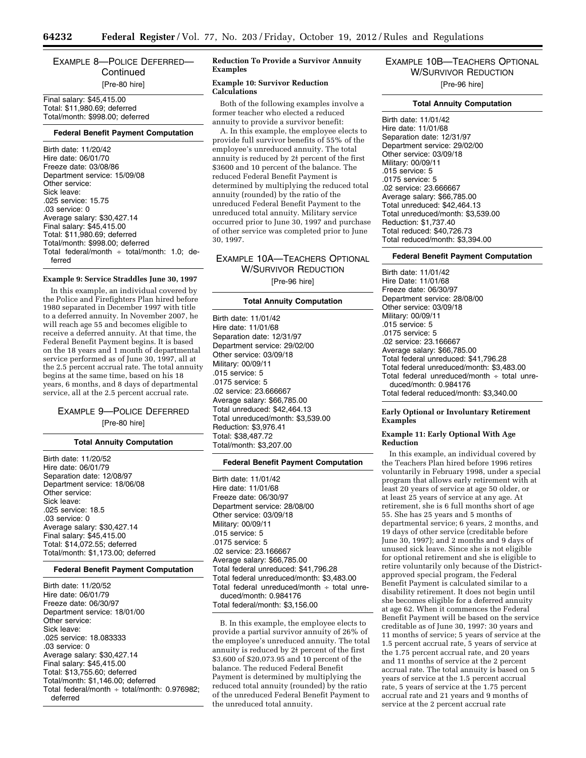### EXAMPLE 8—POLICE DEFERRED— **Continued** [Pre-80 hire]

Final salary: \$45,415.00 Total: \$11,980.69; deferred Total/month: \$998.00; deferred

#### **Federal Benefit Payment Computation**

Birth date: 11/20/42 Hire date: 06/01/70 Freeze date: 03/08/86 Department service: 15/09/08 Other service: Sick leave: .025 service: 15.75 .03 service: 0 Average salary: \$30,427.14 Final salary: \$45,415.00 Total: \$11,980.69; deferred Total/month: \$998.00; deferred Total federal/month  $\div$  total/month: 1.0; deferred

### **Example 9: Service Straddles June 30, 1997**

In this example, an individual covered by the Police and Firefighters Plan hired before 1980 separated in December 1997 with title to a deferred annuity. In November 2007, he will reach age 55 and becomes eligible to receive a deferred annuity. At that time, the Federal Benefit Payment begins. It is based on the 18 years and 1 month of departmental service performed as of June 30, 1997, all at the 2.5 percent accrual rate. The total annuity begins at the same time, based on his 18 years, 6 months, and 8 days of departmental service, all at the 2.5 percent accrual rate.

### EXAMPLE 9—POLICE DEFERRED [Pre-80 hire]

### **Total Annuity Computation**

Birth date: 11/20/52 Hire date: 06/01/79 Separation date: 12/08/97 Department service: 18/06/08 Other service: Sick leave: .025 service: 18.5 .03 service: 0 Average salary: \$30,427.14 Final salary: \$45,415.00 Total: \$14,072.55; deferred Total/month: \$1,173.00; deferred

### **Federal Benefit Payment Computation**

Birth date: 11/20/52 Hire date: 06/01/79 Freeze date: 06/30/97 Department service: 18/01/00 Other service: Sick leave: .025 service: 18.083333 .03 service: 0 Average salary: \$30,427.14 Final salary: \$45,415.00 Total: \$13,755.60; deferred Total/month: \$1,146.00; deferred Total federal/month  $\div$  total/month: 0.976982; deferred

### **Reduction To Provide a Survivor Annuity Examples**

### **Example 10: Survivor Reduction Calculations**

Both of the following examples involve a former teacher who elected a reduced annuity to provide a survivor benefit:

A. In this example, the employee elects to provide full survivor benefits of 55% of the employee's unreduced annuity. The total annuity is reduced by  $2\frac{1}{2}$  percent of the first \$3600 and 10 percent of the balance. The reduced Federal Benefit Payment is determined by multiplying the reduced total annuity (rounded) by the ratio of the unreduced Federal Benefit Payment to the unreduced total annuity. Military service occurred prior to June 30, 1997 and purchase of other service was completed prior to June 30, 1997.

EXAMPLE 10A—TEACHERS OPTIONAL W/SURVIVOR REDUCTION [Pre-96 hire]

### **Total Annuity Computation**

Birth date: 11/01/42 Hire date: 11/01/68 Separation date: 12/31/97 Department service: 29/02/00 Other service: 03/09/18 Military: 00/09/11 .015 service: 5 .0175 service: 5 .02 service: 23.666667 Average salary: \$66,785.00 Total unreduced: \$42,464.13 Total unreduced/month: \$3,539.00 Reduction: \$3,976.41 Total: \$38,487.72 Total/month: \$3,207.00

#### **Federal Benefit Payment Computation**

Birth date: 11/01/42 Hire date: 11/01/68 Freeze date: 06/30/97 Department service: 28/08/00 Other service: 03/09/18 Military: 00/09/11 .015 service: 5 .0175 service: 5 .02 service: 23.166667 Average salary: \$66,785.00 Total federal unreduced: \$41,796.28 Total federal unreduced/month: \$3,483.00 Total federal unreduced/month  $\div$  total unreduced/month: 0.984176 Total federal/month: \$3,156.00

B. In this example, the employee elects to provide a partial survivor annuity of 26% of the employee's unreduced annuity. The total annuity is reduced by  $2\frac{1}{2}$  percent of the first \$3,600 of \$20,073.95 and 10 percent of the balance. The reduced Federal Benefit Payment is determined by multiplying the reduced total annuity (rounded) by the ratio of the unreduced Federal Benefit Payment to the unreduced total annuity.

### EXAMPLE 10B—TEACHERS OPTIONAL W/SURVIVOR REDUCTION [Pre-96 hire]

#### **Total Annuity Computation**

Birth date: 11/01/42 Hire date: 11/01/68 Separation date: 12/31/97 Department service: 29/02/00 Other service: 03/09/18 Military: 00/09/11 .015 service: 5 .0175 service: 5 .02 service: 23.666667 Average salary: \$66,785.00 Total unreduced: \$42,464.13 Total unreduced/month: \$3,539.00 Reduction: \$1,737.40 Total reduced: \$40,726.73 Total reduced/month: \$3,394.00

### **Federal Benefit Payment Computation**

Birth date: 11/01/42 Hire Date: 11/01/68 Freeze date: 06/30/97 Department service: 28/08/00 Other service: 03/09/18 Military: 00/09/11 .015 service: 5 .0175 service: 5 .02 service: 23.166667 Average salary: \$66,785.00 Total federal unreduced: \$41,796.28 Total federal unreduced/month: \$3,483.00 Total federal unreduced/month  $\div$  total unreduced/month: 0.984176 Total federal reduced/month: \$3,340.00

### **Early Optional or Involuntary Retirement Examples**

### **Example 11: Early Optional With Age Reduction**

In this example, an individual covered by the Teachers Plan hired before 1996 retires voluntarily in February 1998, under a special program that allows early retirement with at least 20 years of service at age 50 older, or at least 25 years of service at any age. At retirement, she is 6 full months short of age 55. She has 25 years and 5 months of departmental service; 6 years, 2 months, and 19 days of other service (creditable before June 30, 1997); and 2 months and 9 days of unused sick leave. Since she is not eligible for optional retirement and she is eligible to retire voluntarily only because of the Districtapproved special program, the Federal Benefit Payment is calculated similar to a disability retirement. It does not begin until she becomes eligible for a deferred annuity at age 62. When it commences the Federal Benefit Payment will be based on the service creditable as of June 30, 1997: 30 years and 11 months of service; 5 years of service at the 1.5 percent accrual rate, 5 years of service at the 1.75 percent accrual rate, and 20 years and 11 months of service at the 2 percent accrual rate. The total annuity is based on 5 years of service at the 1.5 percent accrual rate, 5 years of service at the 1.75 percent accrual rate and 21 years and 9 months of service at the 2 percent accrual rate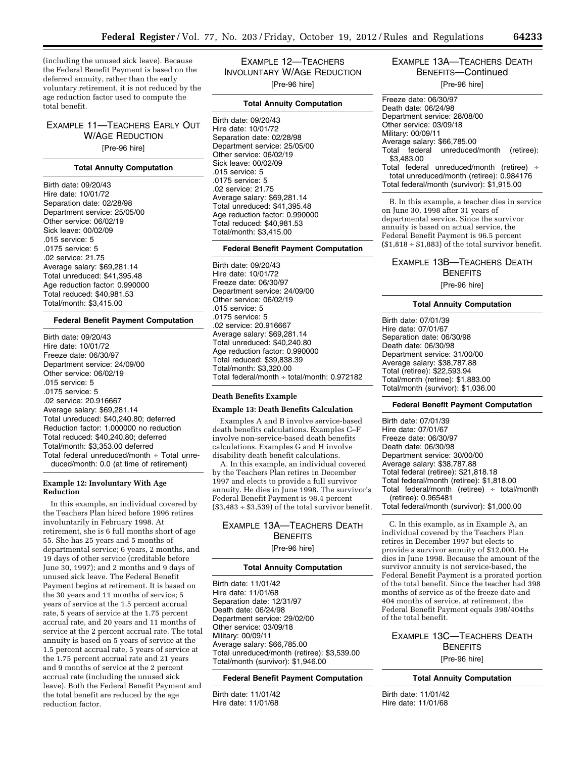(including the unused sick leave). Because the Federal Benefit Payment is based on the deferred annuity, rather than the early voluntary retirement, it is not reduced by the age reduction factor used to compute the total benefit.

EXAMPLE 11—TEACHERS EARLY OUT W/AGE REDUCTION [Pre-96 hire]

### **Total Annuity Computation**

Birth date: 09/20/43 Hire date: 10/01/72 Separation date: 02/28/98 Department service: 25/05/00 Other service: 06/02/19 Sick leave: 00/02/09 .015 service: 5 .0175 service: 5 .02 service: 21.75 Average salary: \$69,281.14 Total unreduced: \$41,395.48 Age reduction factor: 0.990000 Total reduced: \$40,981.53 Total/month: \$3,415.00

### **Federal Benefit Payment Computation**

Birth date: 09/20/43 Hire date: 10/01/72 Freeze date: 06/30/97 Department service: 24/09/00 Other service: 06/02/19 .015 service: 5 .0175 service: 5 .02 service: 20.916667 Average salary: \$69,281.14 Total unreduced: \$40,240.80; deferred Reduction factor: 1.000000 no reduction Total reduced: \$40,240.80; deferred Total/month: \$3,353.00 deferred Total federal unreduced/month  $\div$  Total unreduced/month: 0.0 (at time of retirement)

### **Example 12: Involuntary With Age Reduction**

In this example, an individual covered by the Teachers Plan hired before 1996 retires involuntarily in February 1998. At retirement, she is 6 full months short of age 55. She has 25 years and 5 months of departmental service; 6 years, 2 months, and 19 days of other service (creditable before June 30, 1997); and 2 months and 9 days of unused sick leave. The Federal Benefit Payment begins at retirement. It is based on the 30 years and 11 months of service; 5 years of service at the 1.5 percent accrual rate, 5 years of service at the 1.75 percent accrual rate, and 20 years and 11 months of service at the 2 percent accrual rate. The total annuity is based on 5 years of service at the 1.5 percent accrual rate, 5 years of service at the 1.75 percent accrual rate and 21 years and 9 months of service at the 2 percent accrual rate (including the unused sick leave). Both the Federal Benefit Payment and the total benefit are reduced by the age reduction factor.

EXAMPLE 12—TEACHERS INVOLUNTARY W/AGE REDUCTION [Pre-96 hire]

### **Total Annuity Computation**

Birth date: 09/20/43 Hire date: 10/01/72 Separation date: 02/28/98 Department service: 25/05/00 Other service: 06/02/19 Sick leave: 00/02/09 .015 service: 5 .0175 service: 5 .02 service: 21.75 Average salary: \$69,281.14 Total unreduced: \$41,395.48 Age reduction factor: 0.990000 Total reduced: \$40,981.53 Total/month: \$3,415.00

### **Federal Benefit Payment Computation**

Birth date: 09/20/43 Hire date: 10/01/72 Freeze date: 06/30/97 Department service: 24/09/00 Other service: 06/02/19 .015 service: 5 .0175 service: 5 .02 service: 20.916667 Average salary: \$69,281.14 Total unreduced: \$40,240.80 Age reduction factor: 0.990000 Total reduced: \$39,838.39 Total/month: \$3,320.00 Total federal/month ÷ total/month: 0.972182

### **Death Benefits Example**

### **Example 13: Death Benefits Calculation**

Examples A and B involve service-based death benefits calculations. Examples C–F involve non-service-based death benefits calculations. Examples G and H involve disability death benefit calculations.

A. In this example, an individual covered by the Teachers Plan retires in December 1997 and elects to provide a full survivor annuity. He dies in June 1998. The survivor's Federal Benefit Payment is 98.4 percent  $($3,483 \div $3,539)$  of the total survivor benefit.

### EXAMPLE 13A—TEACHERS DEATH **BENEFITS** [Pre-96 hire]

### **Total Annuity Computation**

Birth date: 11/01/42 Hire date: 11/01/68 Separation date: 12/31/97 Death date: 06/24/98 Department service: 29/02/00 Other service: 03/09/18 Military: 00/09/11 Average salary: \$66,785.00 Total unreduced/month (retiree): \$3,539.00 Total/month (survivor): \$1,946.00

### **Federal Benefit Payment Computation**

Birth date: 11/01/42 Hire date: 11/01/68

### EXAMPLE 13A—TEACHERS DEATH BENEFITS—Continued

[Pre-96 hire]

| Freeze date: 06/30/97                          |
|------------------------------------------------|
| Death date: 06/24/98                           |
| Department service: 28/08/00                   |
| Other service: 03/09/18                        |
| Military: 00/09/11                             |
| Average salary: \$66,785.00                    |
| Total federal unreduced/month (retiree):       |
| \$3,483,00                                     |
| Total federal unreduced/month (retiree) $\div$ |
| total unreduced/month (retiree): 0.984176      |
| Total federal/month (survivor): \$1,915.00     |
|                                                |

B. In this example, a teacher dies in service on June 30, 1998 after 31 years of departmental service. Since the survivor annuity is based on actual service, the Federal Benefit Payment is 96.5 percent  $($1,818 \div $1,883)$  of the total survivor benefit.

### EXAMPLE 13B—TEACHERS DEATH **BENEFITS**

[Pre-96 hire]

### **Total Annuity Computation**

Birth date: 07/01/39 Hire date: 07/01/67 Separation date: 06/30/98 Death date: 06/30/98 Department service: 31/00/00 Average salary: \$38,787.88 Total (retiree): \$22,593.94 Total/month (retiree): \$1,883.00 Total/month (survivor): \$1,036.00

### **Federal Benefit Payment Computation**

Birth date: 07/01/39 Hire date: 07/01/67 Freeze date: 06/30/97 Death date: 06/30/98 Department service: 30/00/00 Average salary: \$38,787.88 Total federal (retiree): \$21,818.18 Total federal/month (retiree): \$1,818.00 Total federal/month (retiree)  $\div$  total/month (retiree): 0.965481 Total federal/month (survivor): \$1,000.00

C. In this example, as in Example A, an individual covered by the Teachers Plan retires in December 1997 but elects to provide a survivor annuity of \$12,000. He dies in June 1998. Because the amount of the survivor annuity is not service-based, the Federal Benefit Payment is a prorated portion of the total benefit. Since the teacher had 398 months of service as of the freeze date and 404 months of service, at retirement, the Federal Benefit Payment equals 398/404ths of the total benefit.

### EXAMPLE 13C—TEACHERS DEATH BENEFITS [Pre-96 hire]

**Total Annuity Computation** 

Birth date: 11/01/42 Hire date: 11/01/68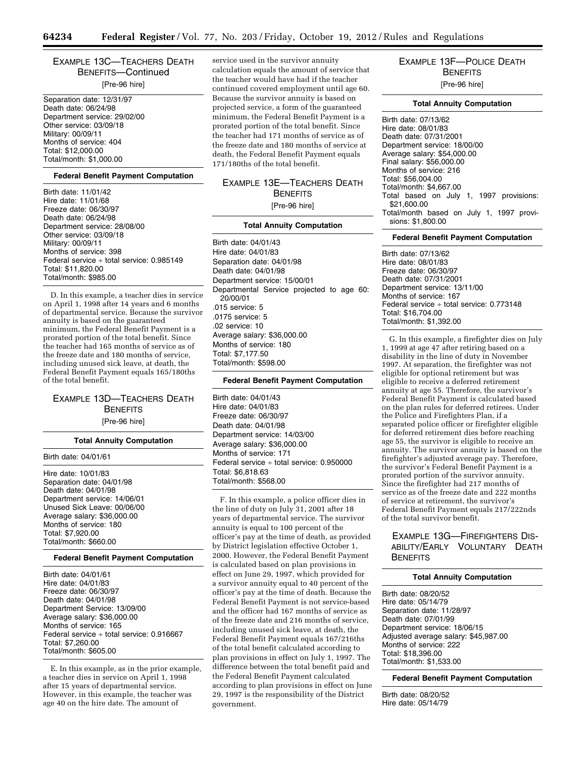EXAMPLE 13C—TEACHERS DEATH BENEFITS—Continued [Pre-96 hire]

Separation date: 12/31/97 Death date: 06/24/98 Department service: 29/02/00 Other service: 03/09/18 Military: 00/09/11 Months of service: 404 Total: \$12,000.00 Total/month: \$1,000.00

#### **Federal Benefit Payment Computation**

Birth date: 11/01/42 Hire date: 11/01/68 Freeze date: 06/30/97 Death date: 06/24/98 Department service: 28/08/00 Other service: 03/09/18 Military: 00/09/11 Months of service: 398 Federal service ÷ total service: 0.985149 Total: \$11,820.00 Total/month: \$985.00

D. In this example, a teacher dies in service on April 1, 1998 after 14 years and 6 months of departmental service. Because the survivor annuity is based on the guaranteed minimum, the Federal Benefit Payment is a prorated portion of the total benefit. Since the teacher had 165 months of service as of the freeze date and 180 months of service, including unused sick leave, at death, the Federal Benefit Payment equals 165/180ths of the total benefit.

### EXAMPLE 13D—TEACHERS DEATH **BENEFITS** [Pre-96 hire]

#### **Total Annuity Computation**

### Birth date: 04/01/61

Hire date: 10/01/83 Separation date: 04/01/98 Death date: 04/01/98 Department service: 14/06/01 Unused Sick Leave: 00/06/00 Average salary: \$36,000.00 Months of service: 180 Total: \$7,920.00 Total/month: \$660.00

### **Federal Benefit Payment Computation**

Birth date: 04/01/61 Hire date: 04/01/83 Freeze date: 06/30/97 Death date: 04/01/98 Department Service: 13/09/00 Average salary: \$36,000.00 Months of service: 165 Federal service ÷ total service: 0.916667 Total: \$7,260.00 Total/month: \$605.00

E. In this example, as in the prior example, a teacher dies in service on April 1, 1998 after 15 years of departmental service. However, in this example, the teacher was age 40 on the hire date. The amount of

service used in the survivor annuity calculation equals the amount of service that the teacher would have had if the teacher continued covered employment until age 60. Because the survivor annuity is based on projected service, a form of the guaranteed minimum, the Federal Benefit Payment is a prorated portion of the total benefit. Since the teacher had 171 months of service as of the freeze date and 180 months of service at death, the Federal Benefit Payment equals 171/180ths of the total benefit.

### EXAMPLE 13E—TEACHERS DEATH **BENEFITS** [Pre-96 hire]

### **Total Annuity Computation**

Birth date: 04/01/43 Hire date: 04/01/83 Separation date: 04/01/98 Death date: 04/01/98 Department service: 15/00/01 Departmental Service projected to age 60: 20/00/01 .015 service: 5 .0175 service: 5 .02 service: 10 Average salary: \$36,000.00 Months of service: 180 Total: \$7,177.50 Total/month: \$598.00

#### **Federal Benefit Payment Computation**

Birth date: 04/01/43 Hire date: 04/01/83 Freeze date: 06/30/97 Death date: 04/01/98 Department service: 14/03/00 Average salary: \$36,000.00 Months of service: 171 Federal service ÷ total service: 0.950000 Total: \$6,818.63 Total/month: \$568.00

F. In this example, a police officer dies in the line of duty on July 31, 2001 after 18 years of departmental service. The survivor annuity is equal to 100 percent of the officer's pay at the time of death, as provided by District legislation effective October 1, 2000. However, the Federal Benefit Payment is calculated based on plan provisions in effect on June 29, 1997, which provided for a survivor annuity equal to 40 percent of the officer's pay at the time of death. Because the Federal Benefit Payment is not service-based and the officer had 167 months of service as of the freeze date and 216 months of service, including unused sick leave, at death, the Federal Benefit Payment equals 167/216ths of the total benefit calculated according to plan provisions in effect on July 1, 1997. The difference between the total benefit paid and the Federal Benefit Payment calculated according to plan provisions in effect on June 29, 1997 is the responsibility of the District government.

### EXAMPLE 13F—POLICE DEATH **BENEFITS** [Pre-96 hire]

#### **Total Annuity Computation**

Birth date: 07/13/62 Hire date: 08/01/83 Death date: 07/31/2001 Department service: 18/00/00 Average salary: \$54,000.00 Final salary: \$56,000.00 Months of service: 216 Total: \$56,004.00 Total/month: \$4,667.00 Total based on July 1, 1997 provisions: \$21,600.00 Total/month based on July 1, 1997 provisions: \$1,800.00

#### **Federal Benefit Payment Computation**

Birth date: 07/13/62 Hire date: 08/01/83 Freeze date: 06/30/97 Death date: 07/31/2001 Department service: 13/11/00 Months of service: 167 Federal service ÷ total service: 0.773148 Total: \$16,704.00 Total/month: \$1,392.00

G. In this example, a firefighter dies on July 1, 1999 at age 47 after retiring based on a disability in the line of duty in November 1997. At separation, the firefighter was not eligible for optional retirement but was eligible to receive a deferred retirement annuity at age 55. Therefore, the survivor's Federal Benefit Payment is calculated based on the plan rules for deferred retirees. Under the Police and Firefighters Plan, if a separated police officer or firefighter eligible for deferred retirement dies before reaching age 55, the survivor is eligible to receive an annuity. The survivor annuity is based on the firefighter's adjusted average pay. Therefore, the survivor's Federal Benefit Payment is a prorated portion of the survivor annuity. Since the firefighter had 217 months of service as of the freeze date and 222 months of service at retirement, the survivor's Federal Benefit Payment equals 217/222nds of the total survivor benefit.

### EXAMPLE 13G—FIREFIGHTERS DIS-ABILITY/EARLY VOLUNTARY DEATH **BENEFITS**

### **Total Annuity Computation**

Birth date: 08/20/52 Hire date: 05/14/79 Separation date: 11/28/97 Death date: 07/01/99 Department service: 18/06/15 Adjusted average salary: \$45,987.00 Months of service: 222 Total: \$18,396.00 Total/month: \$1,533.00

**Federal Benefit Payment Computation** 

Birth date: 08/20/52 Hire date: 05/14/79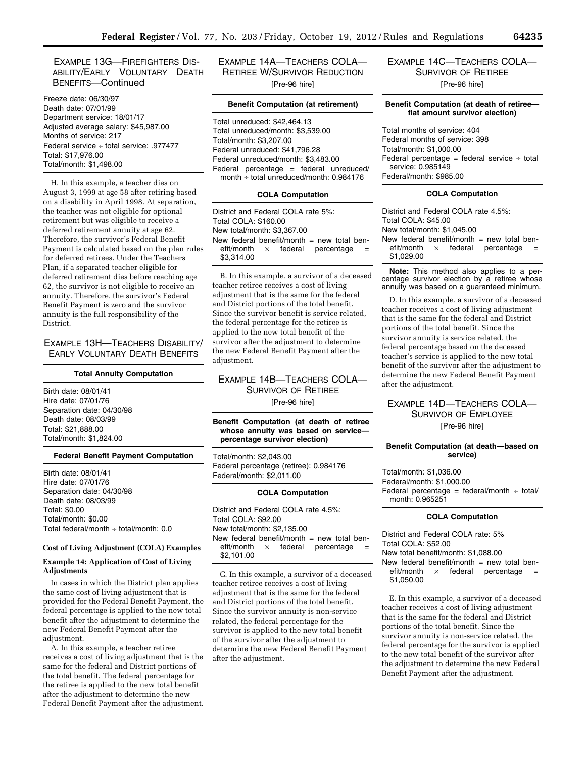EXAMPLE 13G—FIREFIGHTERS DIS-ABILITY/EARLY VOLUNTARY DEATH BENEFITS—Continued

Freeze date: 06/30/97 Death date: 07/01/99 Department service: 18/01/17 Adjusted average salary: \$45,987.00 Months of service: 217 Federal service ÷ total service: .977477 Total: \$17,976.00 Total/month: \$1,498.00

H. In this example, a teacher dies on August 3, 1999 at age 58 after retiring based on a disability in April 1998. At separation, the teacher was not eligible for optional retirement but was eligible to receive a deferred retirement annuity at age 62. Therefore, the survivor's Federal Benefit Payment is calculated based on the plan rules for deferred retirees. Under the Teachers Plan, if a separated teacher eligible for deferred retirement dies before reaching age 62, the survivor is not eligible to receive an annuity. Therefore, the survivor's Federal Benefit Payment is zero and the survivor annuity is the full responsibility of the District.

EXAMPLE 13H—TEACHERS DISABILITY/ EARLY VOLUNTARY DEATH BENEFITS

#### **Total Annuity Computation**

Birth date: 08/01/41 Hire date: 07/01/76 Separation date: 04/30/98 Death date: 08/03/99 Total: \$21,888.00 Total/month: \$1,824.00

### **Federal Benefit Payment Computation**

Birth date: 08/01/41 Hire date: 07/01/76 Separation date: 04/30/98 Death date: 08/03/99 Total: \$0.00 Total/month: \$0.00 Total federal/month ÷ total/month: 0.0

### **Cost of Living Adjustment (COLA) Examples**

### **Example 14: Application of Cost of Living Adjustments**

In cases in which the District plan applies the same cost of living adjustment that is provided for the Federal Benefit Payment, the federal percentage is applied to the new total benefit after the adjustment to determine the new Federal Benefit Payment after the adjustment.

A. In this example, a teacher retiree receives a cost of living adjustment that is the same for the federal and District portions of the total benefit. The federal percentage for the retiree is applied to the new total benefit after the adjustment to determine the new Federal Benefit Payment after the adjustment. EXAMPLE 14A—TEACHERS COLA— RETIREE W/SURVIVOR REDUCTION [Pre-96 hire]

### **Benefit Computation (at retirement)**

Total unreduced: \$42,464.13 Total unreduced/month: \$3,539.00 Total/month: \$3,207.00 Federal unreduced: \$41,796.28 Federal unreduced/month: \$3,483.00 Federal percentage = federal unreduced/ month  $\div$  total unreduced/month: 0.984176

### **COLA Computation**

District and Federal COLA rate 5%: Total COLA: \$160.00 New total/month: \$3,367.00 New federal benefit/month = new total ben-<br>efit/month  $\times$  federal percentage =  $\times$  federal percentage \$3,314.00

B. In this example, a survivor of a deceased teacher retiree receives a cost of living adjustment that is the same for the federal and District portions of the total benefit. Since the survivor benefit is service related, the federal percentage for the retiree is applied to the new total benefit of the survivor after the adjustment to determine the new Federal Benefit Payment after the adjustment.

### EXAMPLE 14B—TEACHERS COLA— SURVIVOR OF RETIREE [Pre-96 hire]

**Benefit Computation (at death of retiree whose annuity was based on service percentage survivor election)** 

Total/month: \$2,043.00 Federal percentage (retiree): 0.984176 Federal/month: \$2,011.00

#### **COLA Computation**

District and Federal COLA rate 4.5%: Total COLA: \$92.00 New total/month: \$2,135.00 New federal benefit/month  $=$  new total ben $e$ fit/month  $\times$  federal percentage \$2,101.00

C. In this example, a survivor of a deceased teacher retiree receives a cost of living adjustment that is the same for the federal and District portions of the total benefit. Since the survivor annuity is non-service related, the federal percentage for the survivor is applied to the new total benefit of the survivor after the adjustment to determine the new Federal Benefit Payment after the adjustment.

### EXAMPLE 14C—TEACHERS COLA— SURVIVOR OF RETIREE [Pre-96 hire]

### **Benefit Computation (at death of retiree flat amount survivor election)**

Total months of service: 404 Federal months of service: 398 Total/month: \$1,000.00 Federal percentage = federal service  $\div$  total service: 0.985149 Federal/month: \$985.00

### **COLA Computation**

District and Federal COLA rate 4.5%: Total COLA: \$45.00 New total/month: \$1,045.00 New federal benefit/month = new total ben-<br>efit/month  $\times$  federal percentage =  $\times$  federal percentage \$1,029.00

**Note:** This method also applies to a percentage survivor election by a retiree whose annuity was based on a guaranteed minimum.

D. In this example, a survivor of a deceased teacher receives a cost of living adjustment that is the same for the federal and District portions of the total benefit. Since the survivor annuity is service related, the federal percentage based on the deceased teacher's service is applied to the new total benefit of the survivor after the adjustment to determine the new Federal Benefit Payment after the adjustment.

### EXAMPLE 14D—TEACHERS COLA— SURVIVOR OF EMPLOYEE [Pre-96 hire]

**Benefit Computation (at death—based on service)** 

Total/month: \$1,036.00 Federal/month: \$1,000.00 Federal percentage = federal/month  $\div$  total/ month: 0.965251 **COLA Computation** 

District and Federal COLA rate: 5% Total COLA: \$52.00 New total benefit/month: \$1,088.00 New federal benefit/month  $=$  new total ben $e$ fit/month  $\times$  federal percentage \$1,050.00

E. In this example, a survivor of a deceased teacher receives a cost of living adjustment that is the same for the federal and District portions of the total benefit. Since the survivor annuity is non-service related, the federal percentage for the survivor is applied to the new total benefit of the survivor after the adjustment to determine the new Federal Benefit Payment after the adjustment.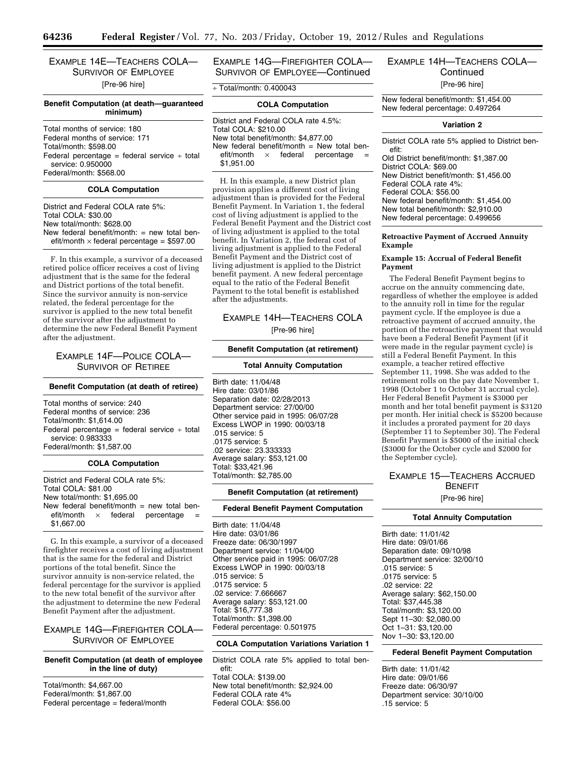## EXAMPLE 14E—TEACHERS COLA— SURVIVOR OF EMPLOYEE

[Pre-96 hire]

### **Benefit Computation (at death—guaranteed minimum)**

Total months of service: 180 Federal months of service: 171 Total/month: \$598.00 Federal percentage = federal service  $\div$  total service: 0.950000 Federal/month: \$568.00

### **COLA Computation**

District and Federal COLA rate 5%: Total COLA: \$30.00 New total/month: \$628.00 New federal benefit/month:  $=$  new total benefit/month  $\times$  federal percentage = \$597.00

F. In this example, a survivor of a deceased retired police officer receives a cost of living adjustment that is the same for the federal and District portions of the total benefit. Since the survivor annuity is non-service related, the federal percentage for the survivor is applied to the new total benefit of the survivor after the adjustment to determine the new Federal Benefit Payment after the adjustment.

### EXAMPLE 14F—POLICE COLA— SURVIVOR OF RETIREE

#### **Benefit Computation (at death of retiree)**

Total months of service: 240 Federal months of service: 236 Total/month: \$1,614.00 Federal percentage = federal service  $\div$  total service: 0.983333 Federal/month: \$1,587.00

#### **COLA Computation**

District and Federal COLA rate 5%: Total COLA: \$81.00 New total/month: \$1,695.00 New federal benefit/month = new total ben-<br>efit/month  $\times$  federal percentage =  $\times$  federal percentage \$1,667.00

G. In this example, a survivor of a deceased firefighter receives a cost of living adjustment that is the same for the federal and District portions of the total benefit. Since the survivor annuity is non-service related, the federal percentage for the survivor is applied to the new total benefit of the survivor after the adjustment to determine the new Federal Benefit Payment after the adjustment.

### EXAMPLE 14G—FIREFIGHTER COLA— SURVIVOR OF EMPLOYEE

### **Benefit Computation (at death of employee in the line of duty)**

Total/month: \$4,667.00 Federal/month: \$1,867.00 Federal percentage = federal/month EXAMPLE 14G—FIREFIGHTER COLA— SURVIVOR OF EMPLOYEE—Continued

÷ Total/month: 0.400043

### **COLA Computation**

District and Federal COLA rate 4.5%: Total COLA: \$210.00 New total benefit/month: \$4,877.00 New federal benefit/month = New total ben-<br>efit/month  $\times$  federal percentage =  $\times$  federal percentage \$1,951.00

H. In this example, a new District plan provision applies a different cost of living adjustment than is provided for the Federal Benefit Payment. In Variation 1, the federal cost of living adjustment is applied to the Federal Benefit Payment and the District cost of living adjustment is applied to the total benefit. In Variation 2, the federal cost of living adjustment is applied to the Federal Benefit Payment and the District cost of living adjustment is applied to the District benefit payment. A new federal percentage equal to the ratio of the Federal Benefit Payment to the total benefit is established after the adjustments.

### EXAMPLE 14H—TEACHERS COLA

[Pre-96 hire]

### **Benefit Computation (at retirement)**

#### **Total Annuity Computation**

Birth date: 11/04/48 Hire date: 03/01/86 Separation date: 02/28/2013 Department service: 27/00/00 Other service paid in 1995: 06/07/28 Excess LWOP in 1990: 00/03/18 .015 service: 5 .0175 service: 5 .02 service: 23.333333 Average salary: \$53,121.00 Total: \$33,421.96 Total/month: \$2,785.00

#### **Benefit Computation (at retirement)**

### **Federal Benefit Payment Computation**

Birth date: 11/04/48 Hire date: 03/01/86 Freeze date: 06/30/1997 Department service: 11/04/00 Other service paid in 1995: 06/07/28 Excess LWOP in 1990: 00/03/18 .015 service: 5 .0175 service: 5 .02 service: 7.666667 Average salary: \$53,121.00 Total: \$16,777.38 Total/month: \$1,398.00 Federal percentage: 0.501975

### **COLA Computation Variations Variation 1**

District COLA rate 5% applied to total benefit: Total COLA: \$139.00 New total benefit/month: \$2,924.00 Federal COLA rate 4% Federal COLA: \$56.00

### EXAMPLE 14H—TEACHERS COLA— **Continued** [Pre-96 hire]

New federal benefit/month: \$1,454.00 New federal percentage: 0.497264

#### **Variation 2**

District COLA rate 5% applied to District benefit:

Old District benefit/month: \$1,387.00 District COLA: \$69.00 New District benefit/month: \$1,456.00 Federal COLA rate 4%: Federal COLA: \$56.00 New federal benefit/month: \$1,454.00 New total benefit/month: \$2,910.00 New federal percentage: 0.499656

#### **Retroactive Payment of Accrued Annuity Example**

### **Example 15: Accrual of Federal Benefit Payment**

The Federal Benefit Payment begins to accrue on the annuity commencing date, regardless of whether the employee is added to the annuity roll in time for the regular payment cycle. If the employee is due a retroactive payment of accrued annuity, the portion of the retroactive payment that would have been a Federal Benefit Payment (if it were made in the regular payment cycle) is still a Federal Benefit Payment. In this example, a teacher retired effective September 11, 1998. She was added to the retirement rolls on the pay date November 1, 1998 (October 1 to October 31 accrual cycle). Her Federal Benefit Payment is \$3000 per month and her total benefit payment is \$3120 per month. Her initial check is \$5200 because it includes a prorated payment for 20 days (September 11 to September 30). The Federal Benefit Payment is \$5000 of the initial check (\$3000 for the October cycle and \$2000 for the September cycle).

### EXAMPLE 15—TEACHERS ACCRUED BENEFIT

[Pre-96 hire]

### **Total Annuity Computation**

Birth date: 11/01/42 Hire date: 09/01/66 Separation date: 09/10/98 Department service: 32/00/10 .015 service: 5 .0175 service: 5 .02 service: 22 Average salary: \$62,150.00 Total: \$37,445.38 Total/month: \$3,120.00 Sept 11–30: \$2,080.00 Oct 1–31: \$3,120.00 Nov 1–30: \$3,120.00

### **Federal Benefit Payment Computation**

Birth date: 11/01/42 Hire date: 09/01/66 Freeze date: 06/30/97 Department service: 30/10/00 .15 service: 5